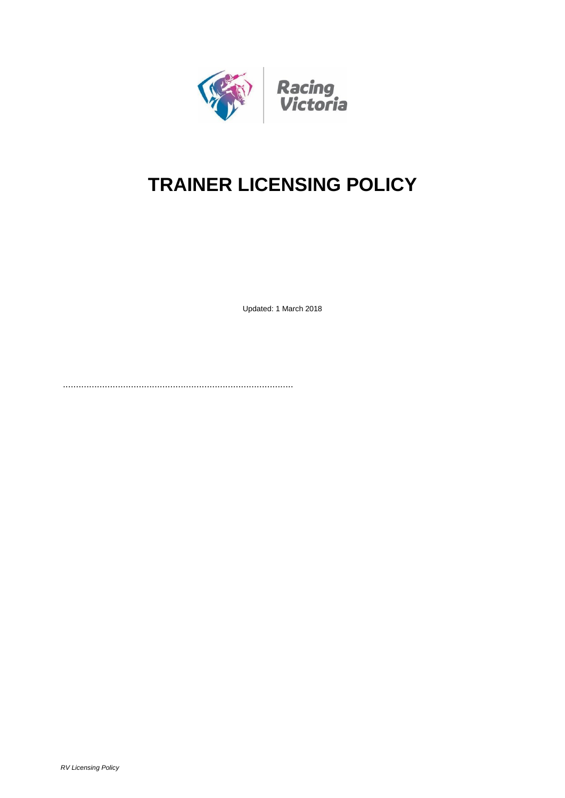

# **TRAINER LICENSING POLICY**

Updated: 1 March 2018

........................................................................................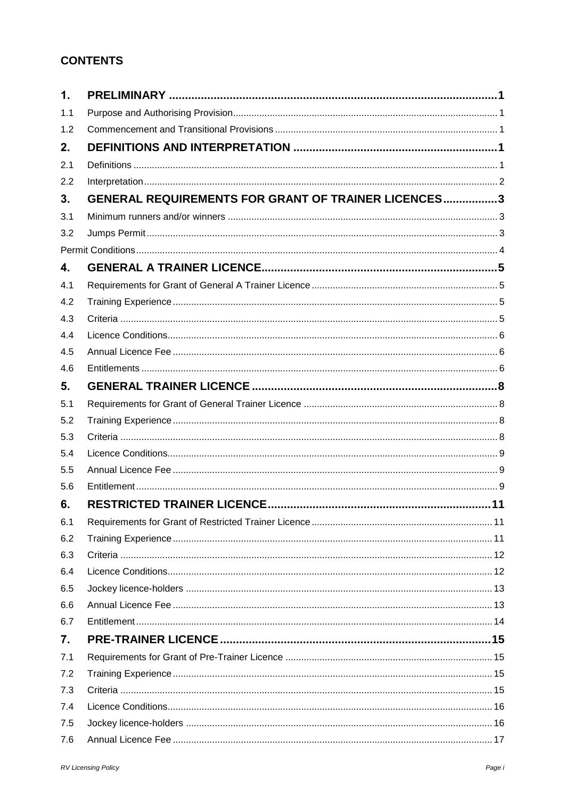# **CONTENTS**

| 1.  |                                                            |  |
|-----|------------------------------------------------------------|--|
| 1.1 |                                                            |  |
| 1.2 |                                                            |  |
| 2.  |                                                            |  |
| 2.1 |                                                            |  |
| 2.2 |                                                            |  |
| 3.  | <b>GENERAL REQUIREMENTS FOR GRANT OF TRAINER LICENCES3</b> |  |
| 3.1 |                                                            |  |
| 3.2 |                                                            |  |
|     |                                                            |  |
| 4.  |                                                            |  |
| 4.1 |                                                            |  |
| 4.2 |                                                            |  |
| 4.3 |                                                            |  |
| 4.4 |                                                            |  |
| 4.5 |                                                            |  |
| 4.6 |                                                            |  |
| 5.  |                                                            |  |
| 5.1 |                                                            |  |
| 5.2 |                                                            |  |
| 5.3 |                                                            |  |
| 5.4 |                                                            |  |
| 5.5 |                                                            |  |
| 5.6 |                                                            |  |
| 6.  |                                                            |  |
| 6.1 |                                                            |  |
| 6.2 |                                                            |  |
| 6.3 |                                                            |  |
| 6.4 |                                                            |  |
| 6.5 |                                                            |  |
| 6.6 |                                                            |  |
| 6.7 |                                                            |  |
| 7.  |                                                            |  |
| 7.1 |                                                            |  |
| 7.2 |                                                            |  |
| 7.3 |                                                            |  |
| 7.4 |                                                            |  |
| 7.5 |                                                            |  |
| 7.6 |                                                            |  |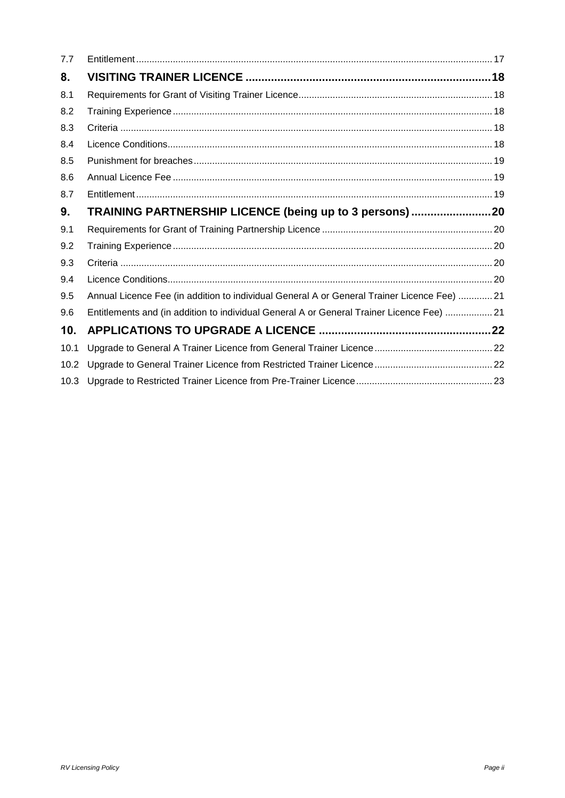| 7.7  |                                                                                             |  |
|------|---------------------------------------------------------------------------------------------|--|
| 8.   |                                                                                             |  |
| 8.1  |                                                                                             |  |
| 8.2  |                                                                                             |  |
| 8.3  |                                                                                             |  |
| 8.4  |                                                                                             |  |
| 8.5  |                                                                                             |  |
| 8.6  |                                                                                             |  |
| 8.7  |                                                                                             |  |
| 9.   | TRAINING PARTNERSHIP LICENCE (being up to 3 persons)20                                      |  |
| 9.1  |                                                                                             |  |
| 9.2  |                                                                                             |  |
| 9.3  |                                                                                             |  |
| 9.4  |                                                                                             |  |
| 9.5  | Annual Licence Fee (in addition to individual General A or General Trainer Licence Fee)  21 |  |
| 9.6  | Entitlements and (in addition to individual General A or General Trainer Licence Fee)  21   |  |
| 10.  |                                                                                             |  |
| 10.1 |                                                                                             |  |
| 10.2 |                                                                                             |  |
| 10.3 |                                                                                             |  |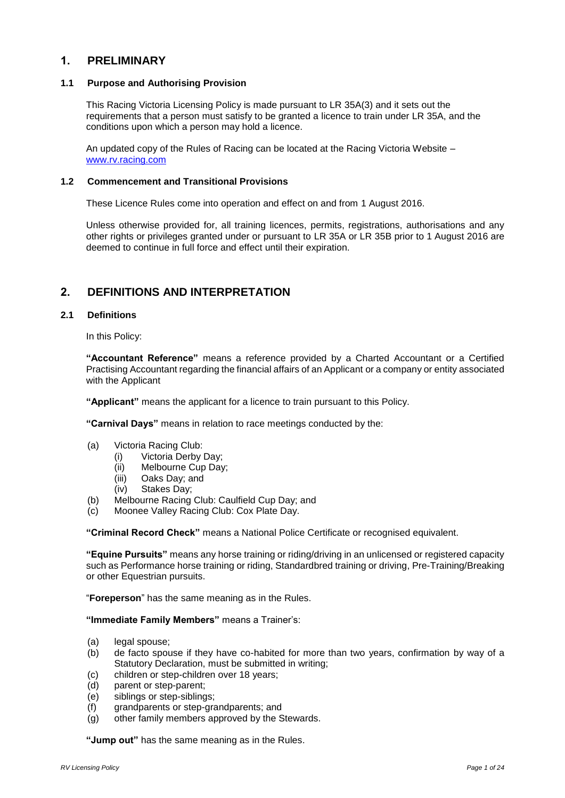# <span id="page-3-0"></span>**1. PRELIMINARY**

#### <span id="page-3-1"></span>**1.1 Purpose and Authorising Provision**

This Racing Victoria Licensing Policy is made pursuant to LR 35A(3) and it sets out the requirements that a person must satisfy to be granted a licence to train under LR 35A, and the conditions upon which a person may hold a licence.

An updated copy of the Rules of Racing can be located at the Racing Victoria Website – [www.rv.racing.com](http://www.rv.racing.com/)

#### <span id="page-3-2"></span>**1.2 Commencement and Transitional Provisions**

These Licence Rules come into operation and effect on and from 1 August 2016.

Unless otherwise provided for, all training licences, permits, registrations, authorisations and any other rights or privileges granted under or pursuant to LR 35A or LR 35B prior to 1 August 2016 are deemed to continue in full force and effect until their expiration.

# <span id="page-3-3"></span>**2. DEFINITIONS AND INTERPRETATION**

#### <span id="page-3-4"></span>**2.1 Definitions**

In this Policy:

**"Accountant Reference"** means a reference provided by a Charted Accountant or a Certified Practising Accountant regarding the financial affairs of an Applicant or a company or entity associated with the Applicant

**"Applicant"** means the applicant for a licence to train pursuant to this Policy.

**"Carnival Days"** means in relation to race meetings conducted by the:

- (a) Victoria Racing Club:
	- (i) Victoria Derby Day;
	- (ii) Melbourne Cup Day;
	- (iii) Oaks Day; and
	- (iv) Stakes Day;
- (b) Melbourne Racing Club: Caulfield Cup Day; and
- (c) Moonee Valley Racing Club: Cox Plate Day.

**"Criminal Record Check"** means a National Police Certificate or recognised equivalent.

**"Equine Pursuits"** means any horse training or riding/driving in an unlicensed or registered capacity such as Performance horse training or riding, Standardbred training or driving, Pre-Training/Breaking or other Equestrian pursuits.

"**Foreperson**" has the same meaning as in the Rules.

#### **"Immediate Family Members"** means a Trainer's:

- (a) legal spouse;
- (b) de facto spouse if they have co-habited for more than two years, confirmation by way of a Statutory Declaration, must be submitted in writing;
- (c) children or step-children over 18 years;
- (d) parent or step-parent;
- (e) siblings or step-siblings;
- (f) grandparents or step-grandparents; and
- (g) other family members approved by the Stewards.

**"Jump out"** has the same meaning as in the Rules.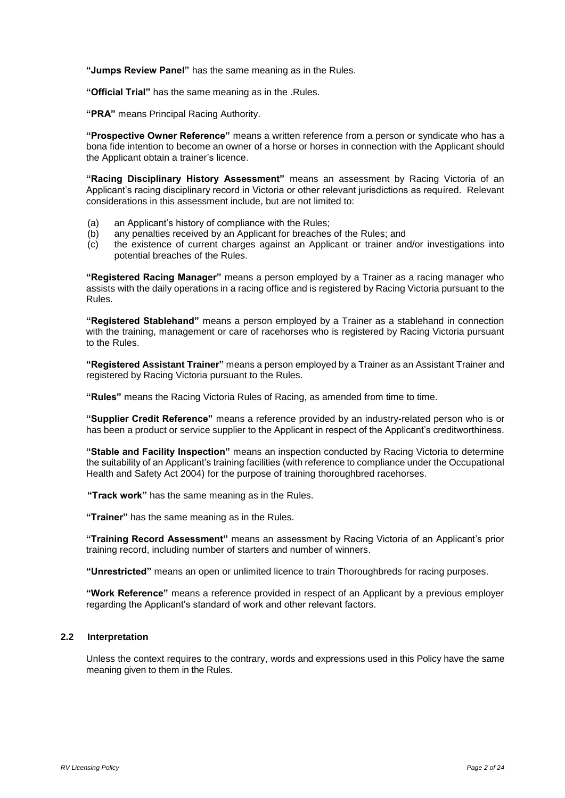**"Jumps Review Panel"** has the same meaning as in the Rules.

**"Official Trial"** has the same meaning as in the .Rules.

**"PRA"** means Principal Racing Authority.

**"Prospective Owner Reference"** means a written reference from a person or syndicate who has a bona fide intention to become an owner of a horse or horses in connection with the Applicant should the Applicant obtain a trainer's licence.

**"Racing Disciplinary History Assessment"** means an assessment by Racing Victoria of an Applicant's racing disciplinary record in Victoria or other relevant jurisdictions as required. Relevant considerations in this assessment include, but are not limited to:

- (a) an Applicant's history of compliance with the Rules;
- (b) any penalties received by an Applicant for breaches of the Rules; and
- (c) the existence of current charges against an Applicant or trainer and/or investigations into potential breaches of the Rules.

**"Registered Racing Manager"** means a person employed by a Trainer as a racing manager who assists with the daily operations in a racing office and is registered by Racing Victoria pursuant to the Rules.

**"Registered Stablehand"** means a person employed by a Trainer as a stablehand in connection with the training, management or care of racehorses who is registered by Racing Victoria pursuant to the Rules.

**"Registered Assistant Trainer"** means a person employed by a Trainer as an Assistant Trainer and registered by Racing Victoria pursuant to the Rules.

**"Rules"** means the Racing Victoria Rules of Racing, as amended from time to time.

**"Supplier Credit Reference"** means a reference provided by an industry-related person who is or has been a product or service supplier to the Applicant in respect of the Applicant's creditworthiness.

**"Stable and Facility Inspection"** means an inspection conducted by Racing Victoria to determine the suitability of an Applicant's training facilities (with reference to compliance under the Occupational Health and Safety Act 2004) for the purpose of training thoroughbred racehorses.

**"Track work"** has the same meaning as in the Rules.

**"Trainer"** has the same meaning as in the Rules.

**"Training Record Assessment"** means an assessment by Racing Victoria of an Applicant's prior training record, including number of starters and number of winners.

**"Unrestricted"** means an open or unlimited licence to train Thoroughbreds for racing purposes.

**"Work Reference"** means a reference provided in respect of an Applicant by a previous employer regarding the Applicant's standard of work and other relevant factors.

#### <span id="page-4-0"></span>**2.2 Interpretation**

Unless the context requires to the contrary, words and expressions used in this Policy have the same meaning given to them in the Rules.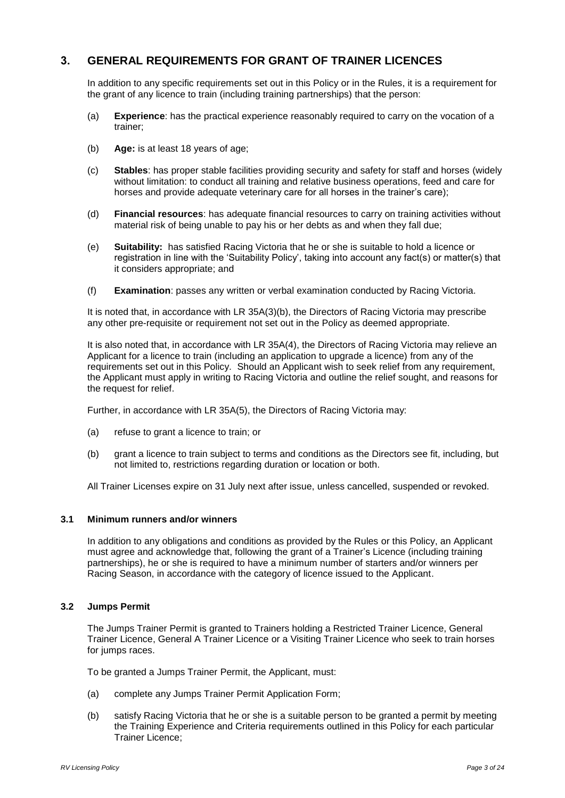# <span id="page-5-0"></span>**3. GENERAL REQUIREMENTS FOR GRANT OF TRAINER LICENCES**

In addition to any specific requirements set out in this Policy or in the Rules, it is a requirement for the grant of any licence to train (including training partnerships) that the person:

- (a) **Experience**: has the practical experience reasonably required to carry on the vocation of a trainer;
- (b) **Age:** is at least 18 years of age;
- (c) **Stables**: has proper stable facilities providing security and safety for staff and horses (widely without limitation: to conduct all training and relative business operations, feed and care for horses and provide adequate veterinary care for all horses in the trainer's care);
- (d) **Financial resources**: has adequate financial resources to carry on training activities without material risk of being unable to pay his or her debts as and when they fall due;
- (e) **Suitability:** has satisfied Racing Victoria that he or she is suitable to hold a licence or registration in line with the 'Suitability Policy', taking into account any fact(s) or matter(s) that it considers appropriate; and
- (f) **Examination**: passes any written or verbal examination conducted by Racing Victoria.

It is noted that, in accordance with LR 35A(3)(b), the Directors of Racing Victoria may prescribe any other pre-requisite or requirement not set out in the Policy as deemed appropriate.

It is also noted that, in accordance with LR 35A(4), the Directors of Racing Victoria may relieve an Applicant for a licence to train (including an application to upgrade a licence) from any of the requirements set out in this Policy. Should an Applicant wish to seek relief from any requirement, the Applicant must apply in writing to Racing Victoria and outline the relief sought, and reasons for the request for relief.

Further, in accordance with LR 35A(5), the Directors of Racing Victoria may:

- (a) refuse to grant a licence to train; or
- (b) grant a licence to train subject to terms and conditions as the Directors see fit, including, but not limited to, restrictions regarding duration or location or both.

All Trainer Licenses expire on 31 July next after issue, unless cancelled, suspended or revoked.

#### <span id="page-5-1"></span>**3.1 Minimum runners and/or winners**

In addition to any obligations and conditions as provided by the Rules or this Policy, an Applicant must agree and acknowledge that, following the grant of a Trainer's Licence (including training partnerships), he or she is required to have a minimum number of starters and/or winners per Racing Season, in accordance with the category of licence issued to the Applicant.

#### <span id="page-5-2"></span>**3.2 Jumps Permit**

The Jumps Trainer Permit is granted to Trainers holding a Restricted Trainer Licence, General Trainer Licence, General A Trainer Licence or a Visiting Trainer Licence who seek to train horses for jumps races.

To be granted a Jumps Trainer Permit, the Applicant, must:

- (a) complete any Jumps Trainer Permit Application Form;
- (b) satisfy Racing Victoria that he or she is a suitable person to be granted a permit by meeting the Training Experience and Criteria requirements outlined in this Policy for each particular Trainer Licence;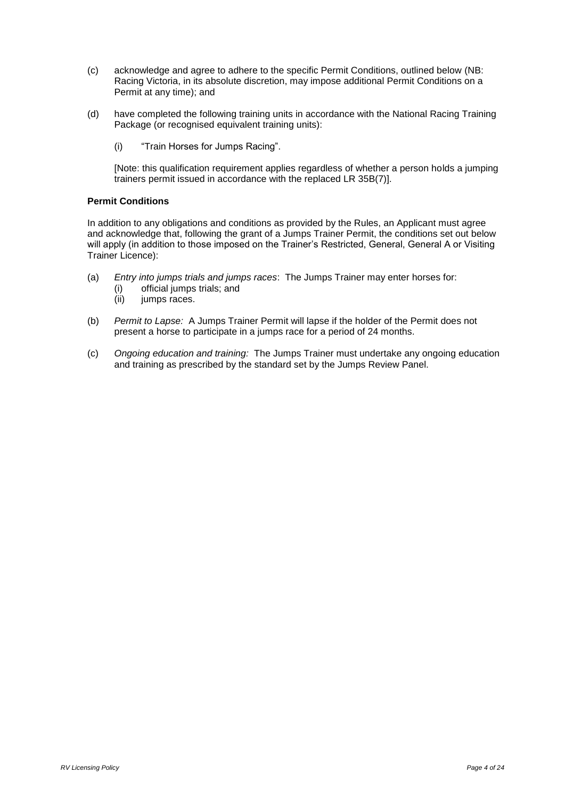- (c) acknowledge and agree to adhere to the specific Permit Conditions, outlined below (NB: Racing Victoria, in its absolute discretion, may impose additional Permit Conditions on a Permit at any time); and
- (d) have completed the following training units in accordance with the National Racing Training Package (or recognised equivalent training units):
	- (i) "Train Horses for Jumps Racing".

[Note: this qualification requirement applies regardless of whether a person holds a jumping trainers permit issued in accordance with the replaced LR 35B(7)].

#### <span id="page-6-0"></span>**Permit Conditions**

In addition to any obligations and conditions as provided by the Rules, an Applicant must agree and acknowledge that, following the grant of a Jumps Trainer Permit, the conditions set out below will apply (in addition to those imposed on the Trainer's Restricted, General, General A or Visiting Trainer Licence):

- (a) *Entry into jumps trials and jumps races*: The Jumps Trainer may enter horses for:
	- (i) official jumps trials; and
	- (ii) jumps races.
- (b) *Permit to Lapse:* A Jumps Trainer Permit will lapse if the holder of the Permit does not present a horse to participate in a jumps race for a period of 24 months.
- (c) *Ongoing education and training:* The Jumps Trainer must undertake any ongoing education and training as prescribed by the standard set by the Jumps Review Panel.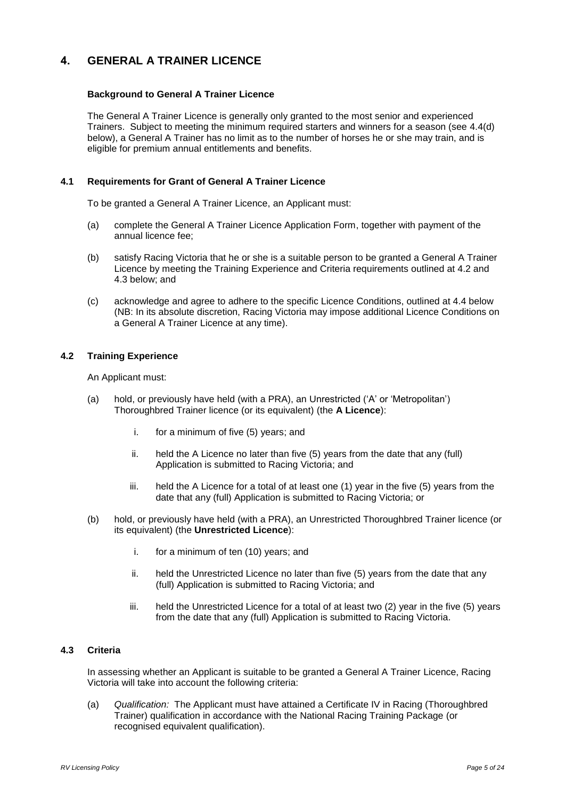# <span id="page-7-0"></span>**4. GENERAL A TRAINER LICENCE**

## **Background to General A Trainer Licence**

The General A Trainer Licence is generally only granted to the most senior and experienced Trainers. Subject to meeting the minimum required starters and winners for a season (see 4.4(d) below), a General A Trainer has no limit as to the number of horses he or she may train, and is eligible for premium annual entitlements and benefits.

## <span id="page-7-1"></span>**4.1 Requirements for Grant of General A Trainer Licence**

To be granted a General A Trainer Licence, an Applicant must:

- (a) complete the General A Trainer Licence Application Form, together with payment of the annual licence fee;
- (b) satisfy Racing Victoria that he or she is a suitable person to be granted a General A Trainer Licence by meeting the Training Experience and Criteria requirements outlined at 4.2 and 4.3 below; and
- (c) acknowledge and agree to adhere to the specific Licence Conditions, outlined at 4.4 below (NB: In its absolute discretion, Racing Victoria may impose additional Licence Conditions on a General A Trainer Licence at any time).

# <span id="page-7-2"></span>**4.2 Training Experience**

An Applicant must:

- (a) hold, or previously have held (with a PRA), an Unrestricted ('A' or 'Metropolitan') Thoroughbred Trainer licence (or its equivalent) (the **A Licence**):
	- i. for a minimum of five (5) years; and
	- ii. held the A Licence no later than five (5) years from the date that any (full) Application is submitted to Racing Victoria; and
	- iii. held the A Licence for a total of at least one (1) year in the five (5) years from the date that any (full) Application is submitted to Racing Victoria; or
- (b) hold, or previously have held (with a PRA), an Unrestricted Thoroughbred Trainer licence (or its equivalent) (the **Unrestricted Licence**):
	- i. for a minimum of ten (10) years; and
	- ii. held the Unrestricted Licence no later than five (5) years from the date that any (full) Application is submitted to Racing Victoria; and
	- iii. held the Unrestricted Licence for a total of at least two (2) year in the five (5) years from the date that any (full) Application is submitted to Racing Victoria.

# <span id="page-7-3"></span>**4.3 Criteria**

In assessing whether an Applicant is suitable to be granted a General A Trainer Licence, Racing Victoria will take into account the following criteria:

(a) *Qualification:* The Applicant must have attained a Certificate IV in Racing (Thoroughbred Trainer) qualification in accordance with the National Racing Training Package (or recognised equivalent qualification).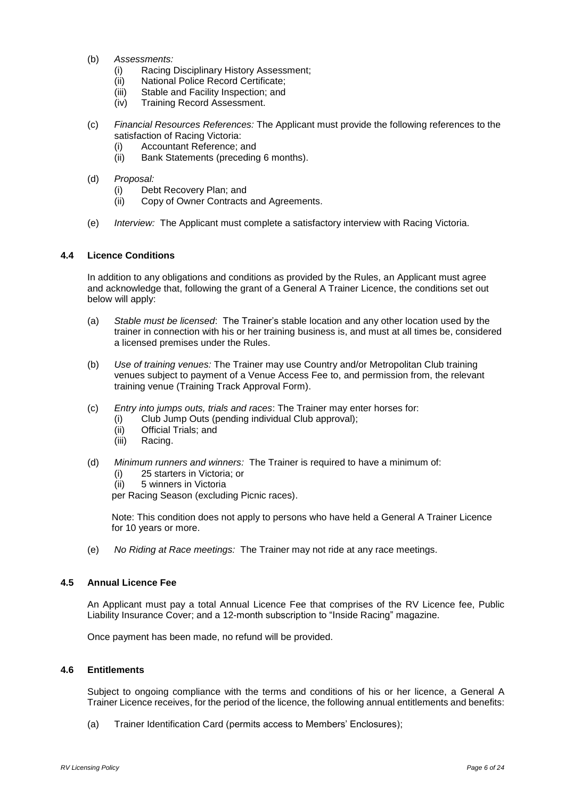- (b) *Assessments:*
	- (i) Racing Disciplinary History Assessment;
	- (ii) National Police Record Certificate;
	- (iii) Stable and Facility Inspection; and
	- (iv) Training Record Assessment.
- (c) *Financial Resources References:* The Applicant must provide the following references to the satisfaction of Racing Victoria:
	- (i) Accountant Reference; and
	- (ii) Bank Statements (preceding 6 months).
- (d) *Proposal:*
	- (i) Debt Recovery Plan; and
	- (ii) Copy of Owner Contracts and Agreements.
- (e) *Interview:* The Applicant must complete a satisfactory interview with Racing Victoria.

#### <span id="page-8-0"></span>**4.4 Licence Conditions**

In addition to any obligations and conditions as provided by the Rules, an Applicant must agree and acknowledge that, following the grant of a General A Trainer Licence, the conditions set out below will apply:

- (a) *Stable must be licensed*: The Trainer's stable location and any other location used by the trainer in connection with his or her training business is, and must at all times be, considered a licensed premises under the Rules.
- (b) *Use of training venues:* The Trainer may use Country and/or Metropolitan Club training venues subject to payment of a Venue Access Fee to, and permission from, the relevant training venue (Training Track Approval Form).
- (c) *Entry into jumps outs, trials and races*: The Trainer may enter horses for:
	- (i) Club Jump Outs (pending individual Club approval);
	- (ii) Official Trials; and
	- (iii) Racing.
- (d) *Minimum runners and winners:* The Trainer is required to have a minimum of:
	- (i) 25 starters in Victoria; or
	- (ii) 5 winners in Victoria
	- per Racing Season (excluding Picnic races).

Note: This condition does not apply to persons who have held a General A Trainer Licence for 10 years or more.

(e) *No Riding at Race meetings:* The Trainer may not ride at any race meetings.

#### <span id="page-8-1"></span>**4.5 Annual Licence Fee**

An Applicant must pay a total Annual Licence Fee that comprises of the RV Licence fee, Public Liability Insurance Cover; and a 12-month subscription to "Inside Racing" magazine.

Once payment has been made, no refund will be provided.

#### <span id="page-8-2"></span>**4.6 Entitlements**

Subject to ongoing compliance with the terms and conditions of his or her licence, a General A Trainer Licence receives, for the period of the licence, the following annual entitlements and benefits:

(a) Trainer Identification Card (permits access to Members' Enclosures);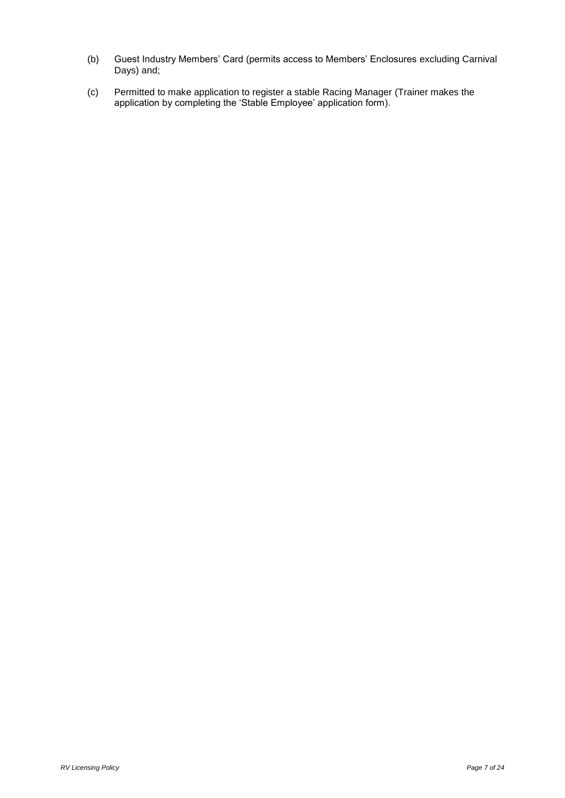- (b) Guest Industry Members' Card (permits access to Members' Enclosures excluding Carnival Days) and;
- (c) Permitted to make application to register a stable Racing Manager (Trainer makes the application by completing the 'Stable Employee' application form).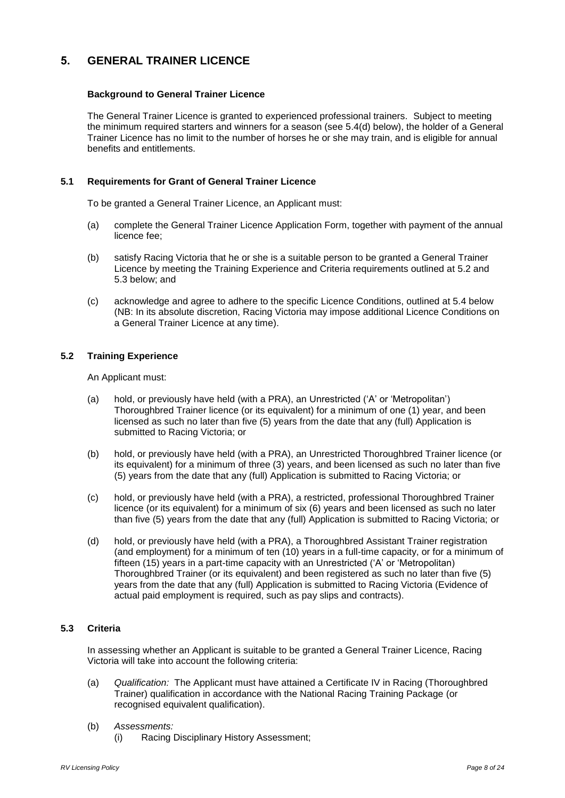# <span id="page-10-0"></span>**5. GENERAL TRAINER LICENCE**

# **Background to General Trainer Licence**

The General Trainer Licence is granted to experienced professional trainers. Subject to meeting the minimum required starters and winners for a season (see 5.4(d) below), the holder of a General Trainer Licence has no limit to the number of horses he or she may train, and is eligible for annual benefits and entitlements.

## <span id="page-10-1"></span>**5.1 Requirements for Grant of General Trainer Licence**

To be granted a General Trainer Licence, an Applicant must:

- (a) complete the General Trainer Licence Application Form, together with payment of the annual licence fee;
- (b) satisfy Racing Victoria that he or she is a suitable person to be granted a General Trainer Licence by meeting the Training Experience and Criteria requirements outlined at 5.2 and 5.3 below; and
- (c) acknowledge and agree to adhere to the specific Licence Conditions, outlined at 5.4 below (NB: In its absolute discretion, Racing Victoria may impose additional Licence Conditions on a General Trainer Licence at any time).

# <span id="page-10-2"></span>**5.2 Training Experience**

An Applicant must:

- (a) hold, or previously have held (with a PRA), an Unrestricted ('A' or 'Metropolitan') Thoroughbred Trainer licence (or its equivalent) for a minimum of one (1) year, and been licensed as such no later than five (5) years from the date that any (full) Application is submitted to Racing Victoria; or
- (b) hold, or previously have held (with a PRA), an Unrestricted Thoroughbred Trainer licence (or its equivalent) for a minimum of three (3) years, and been licensed as such no later than five (5) years from the date that any (full) Application is submitted to Racing Victoria; or
- (c) hold, or previously have held (with a PRA), a restricted, professional Thoroughbred Trainer licence (or its equivalent) for a minimum of six (6) years and been licensed as such no later than five (5) years from the date that any (full) Application is submitted to Racing Victoria; or
- (d) hold, or previously have held (with a PRA), a Thoroughbred Assistant Trainer registration (and employment) for a minimum of ten (10) years in a full-time capacity, or for a minimum of fifteen (15) years in a part-time capacity with an Unrestricted ('A' or 'Metropolitan) Thoroughbred Trainer (or its equivalent) and been registered as such no later than five (5) years from the date that any (full) Application is submitted to Racing Victoria (Evidence of actual paid employment is required, such as pay slips and contracts).

# <span id="page-10-3"></span>**5.3 Criteria**

In assessing whether an Applicant is suitable to be granted a General Trainer Licence, Racing Victoria will take into account the following criteria:

- (a) *Qualification:* The Applicant must have attained a Certificate IV in Racing (Thoroughbred Trainer) qualification in accordance with the National Racing Training Package (or recognised equivalent qualification).
- (b) *Assessments:*
	- (i) Racing Disciplinary History Assessment;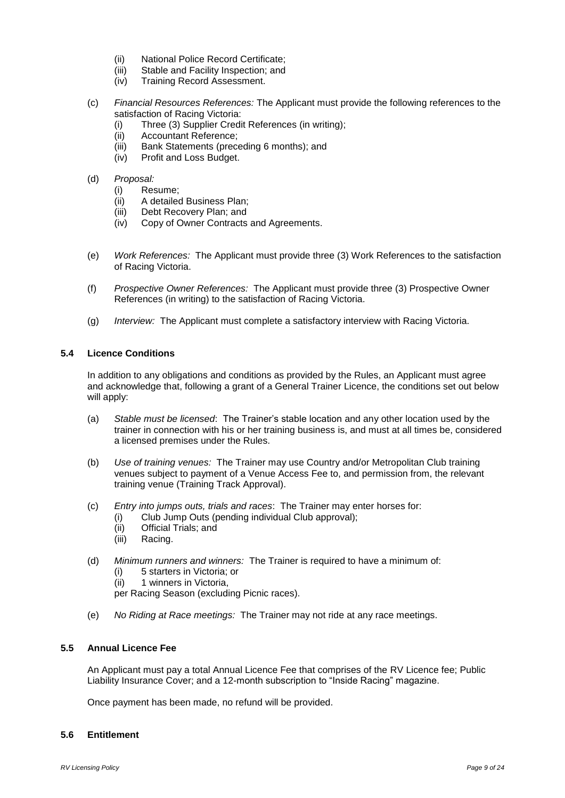- (ii) National Police Record Certificate;
- (iii) Stable and Facility Inspection; and
- (iv) Training Record Assessment.
- (c) *Financial Resources References:* The Applicant must provide the following references to the satisfaction of Racing Victoria:
	- (i) Three (3) Supplier Credit References (in writing);
	- (ii) Accountant Reference;
	- (iii) Bank Statements (preceding 6 months); and
	- (iv) Profit and Loss Budget.

#### (d) *Proposal:*

- (i) Resume;
- (ii) A detailed Business Plan;
- (iii) Debt Recovery Plan; and
- (iv) Copy of Owner Contracts and Agreements.
- (e) *Work References:* The Applicant must provide three (3) Work References to the satisfaction of Racing Victoria.
- (f) *Prospective Owner References:* The Applicant must provide three (3) Prospective Owner References (in writing) to the satisfaction of Racing Victoria.
- (g) *Interview:* The Applicant must complete a satisfactory interview with Racing Victoria.

## <span id="page-11-0"></span>**5.4 Licence Conditions**

In addition to any obligations and conditions as provided by the Rules, an Applicant must agree and acknowledge that, following a grant of a General Trainer Licence, the conditions set out below will apply:

- (a) *Stable must be licensed*: The Trainer's stable location and any other location used by the trainer in connection with his or her training business is, and must at all times be, considered a licensed premises under the Rules.
- (b) *Use of training venues:* The Trainer may use Country and/or Metropolitan Club training venues subject to payment of a Venue Access Fee to, and permission from, the relevant training venue (Training Track Approval).
- (c) *Entry into jumps outs, trials and races*: The Trainer may enter horses for:
	- (i) Club Jump Outs (pending individual Club approval);
	- (ii) Official Trials; and
	- (iii) Racing.
- (d) *Minimum runners and winners:* The Trainer is required to have a minimum of:
	- (i) 5 starters in Victoria; or
	- (ii) 1 winners in Victoria,
	- per Racing Season (excluding Picnic races).
- (e) *No Riding at Race meetings:* The Trainer may not ride at any race meetings.

## <span id="page-11-1"></span>**5.5 Annual Licence Fee**

An Applicant must pay a total Annual Licence Fee that comprises of the RV Licence fee; Public Liability Insurance Cover; and a 12-month subscription to "Inside Racing" magazine.

Once payment has been made, no refund will be provided.

#### <span id="page-11-2"></span>**5.6 Entitlement**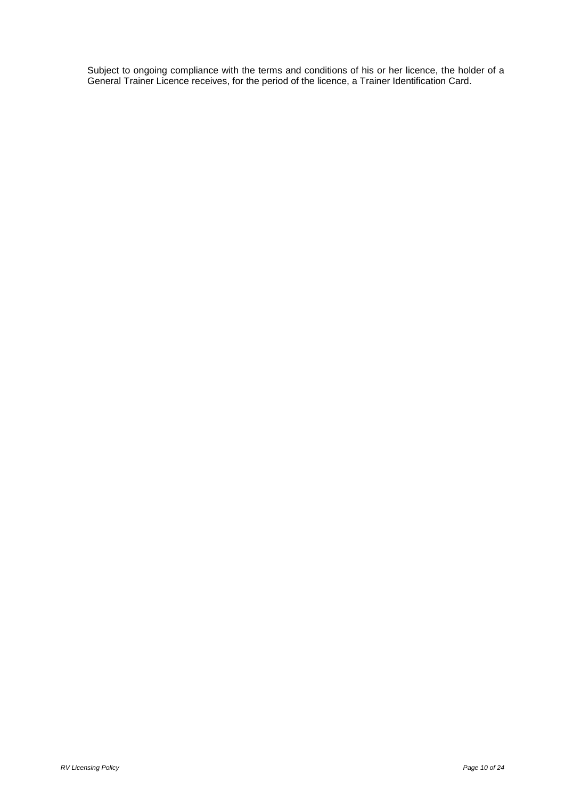Subject to ongoing compliance with the terms and conditions of his or her licence, the holder of a General Trainer Licence receives, for the period of the licence, a Trainer Identification Card.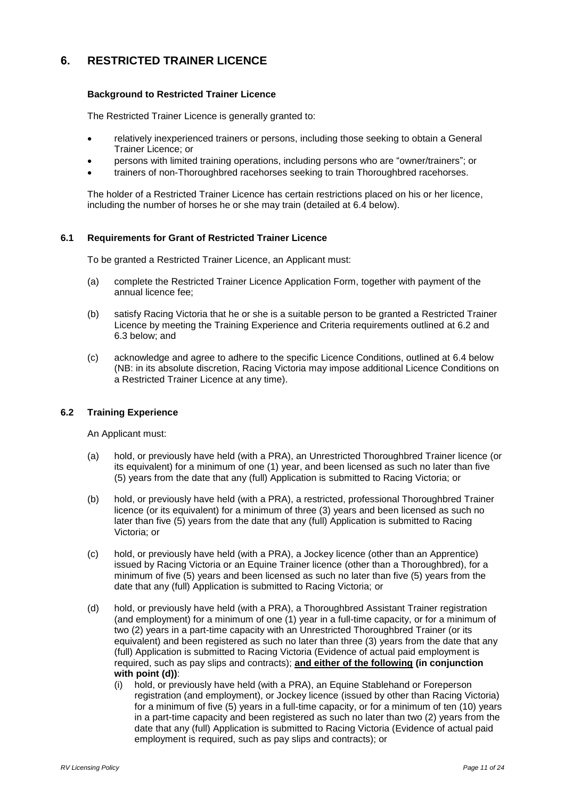# <span id="page-13-0"></span>**6. RESTRICTED TRAINER LICENCE**

# **Background to Restricted Trainer Licence**

The Restricted Trainer Licence is generally granted to:

- relatively inexperienced trainers or persons, including those seeking to obtain a General Trainer Licence; or
- persons with limited training operations, including persons who are "owner/trainers"; or
- trainers of non-Thoroughbred racehorses seeking to train Thoroughbred racehorses.

The holder of a Restricted Trainer Licence has certain restrictions placed on his or her licence, including the number of horses he or she may train (detailed at 6.4 below).

#### <span id="page-13-1"></span>**6.1 Requirements for Grant of Restricted Trainer Licence**

To be granted a Restricted Trainer Licence, an Applicant must:

- (a) complete the Restricted Trainer Licence Application Form, together with payment of the annual licence fee;
- (b) satisfy Racing Victoria that he or she is a suitable person to be granted a Restricted Trainer Licence by meeting the Training Experience and Criteria requirements outlined at 6.2 and 6.3 below; and
- (c) acknowledge and agree to adhere to the specific Licence Conditions, outlined at 6.4 below (NB: in its absolute discretion, Racing Victoria may impose additional Licence Conditions on a Restricted Trainer Licence at any time).

# <span id="page-13-2"></span>**6.2 Training Experience**

An Applicant must:

- (a) hold, or previously have held (with a PRA), an Unrestricted Thoroughbred Trainer licence (or its equivalent) for a minimum of one (1) year, and been licensed as such no later than five (5) years from the date that any (full) Application is submitted to Racing Victoria; or
- (b) hold, or previously have held (with a PRA), a restricted, professional Thoroughbred Trainer licence (or its equivalent) for a minimum of three (3) years and been licensed as such no later than five (5) years from the date that any (full) Application is submitted to Racing Victoria; or
- (c) hold, or previously have held (with a PRA), a Jockey licence (other than an Apprentice) issued by Racing Victoria or an Equine Trainer licence (other than a Thoroughbred), for a minimum of five (5) years and been licensed as such no later than five (5) years from the date that any (full) Application is submitted to Racing Victoria; or
- (d) hold, or previously have held (with a PRA), a Thoroughbred Assistant Trainer registration (and employment) for a minimum of one (1) year in a full-time capacity, or for a minimum of two (2) years in a part-time capacity with an Unrestricted Thoroughbred Trainer (or its equivalent) and been registered as such no later than three (3) years from the date that any (full) Application is submitted to Racing Victoria (Evidence of actual paid employment is required, such as pay slips and contracts); **and either of the following (in conjunction with point (d))**:
	- (i) hold, or previously have held (with a PRA), an Equine Stablehand or Foreperson registration (and employment), or Jockey licence (issued by other than Racing Victoria) for a minimum of five (5) years in a full-time capacity, or for a minimum of ten (10) years in a part-time capacity and been registered as such no later than two (2) years from the date that any (full) Application is submitted to Racing Victoria (Evidence of actual paid employment is required, such as pay slips and contracts); or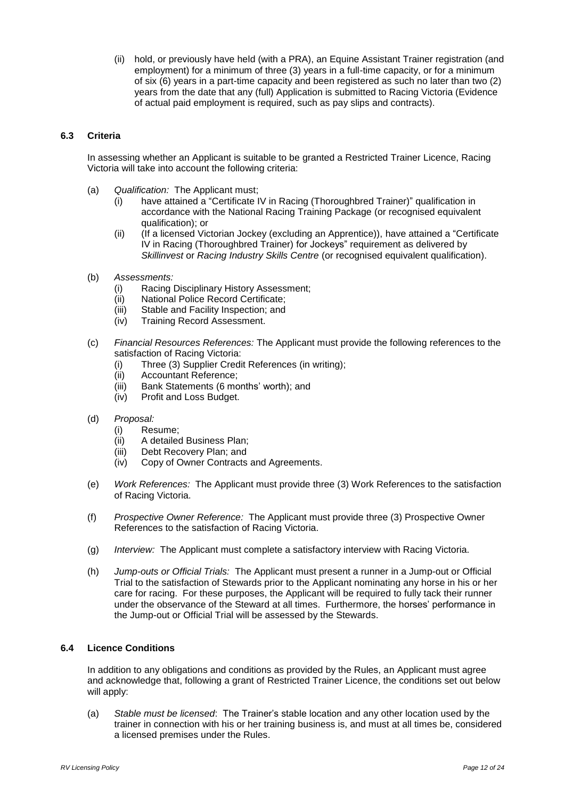(ii) hold, or previously have held (with a PRA), an Equine Assistant Trainer registration (and employment) for a minimum of three (3) years in a full-time capacity, or for a minimum of six (6) years in a part-time capacity and been registered as such no later than two (2) years from the date that any (full) Application is submitted to Racing Victoria (Evidence of actual paid employment is required, such as pay slips and contracts).

## <span id="page-14-0"></span>**6.3 Criteria**

In assessing whether an Applicant is suitable to be granted a Restricted Trainer Licence, Racing Victoria will take into account the following criteria:

- (a) *Qualification:* The Applicant must;
	- (i) have attained a "Certificate IV in Racing (Thoroughbred Trainer)" qualification in accordance with the National Racing Training Package (or recognised equivalent qualification); or
	- (ii) (If a licensed Victorian Jockey (excluding an Apprentice)), have attained a "Certificate IV in Racing (Thoroughbred Trainer) for Jockeys" requirement as delivered by *Skillinvest* or *Racing Industry Skills Centre* (or recognised equivalent qualification).
- (b) *Assessments:*
	- (i) Racing Disciplinary History Assessment;
	- (ii) National Police Record Certificate;
	- (iii) Stable and Facility Inspection; and
	- (iv) Training Record Assessment.
- (c) *Financial Resources References:* The Applicant must provide the following references to the satisfaction of Racing Victoria:
	- (i) Three (3) Supplier Credit References (in writing);
	- (ii) Accountant Reference;
	- (iii) Bank Statements (6 months' worth); and
	- (iv) Profit and Loss Budget.
- (d) *Proposal:*
	- (i) Resume;
	- (ii) A detailed Business Plan;
	- (iii) Debt Recovery Plan; and
	- (iv) Copy of Owner Contracts and Agreements.
- (e) *Work References:* The Applicant must provide three (3) Work References to the satisfaction of Racing Victoria.
- (f) *Prospective Owner Reference:* The Applicant must provide three (3) Prospective Owner References to the satisfaction of Racing Victoria.
- (g) *Interview:* The Applicant must complete a satisfactory interview with Racing Victoria.
- (h) *Jump-outs or Official Trials:* The Applicant must present a runner in a Jump-out or Official Trial to the satisfaction of Stewards prior to the Applicant nominating any horse in his or her care for racing. For these purposes, the Applicant will be required to fully tack their runner under the observance of the Steward at all times. Furthermore, the horses' performance in the Jump-out or Official Trial will be assessed by the Stewards.

# <span id="page-14-1"></span>**6.4 Licence Conditions**

In addition to any obligations and conditions as provided by the Rules, an Applicant must agree and acknowledge that, following a grant of Restricted Trainer Licence, the conditions set out below will apply:

(a) *Stable must be licensed*: The Trainer's stable location and any other location used by the trainer in connection with his or her training business is, and must at all times be, considered a licensed premises under the Rules.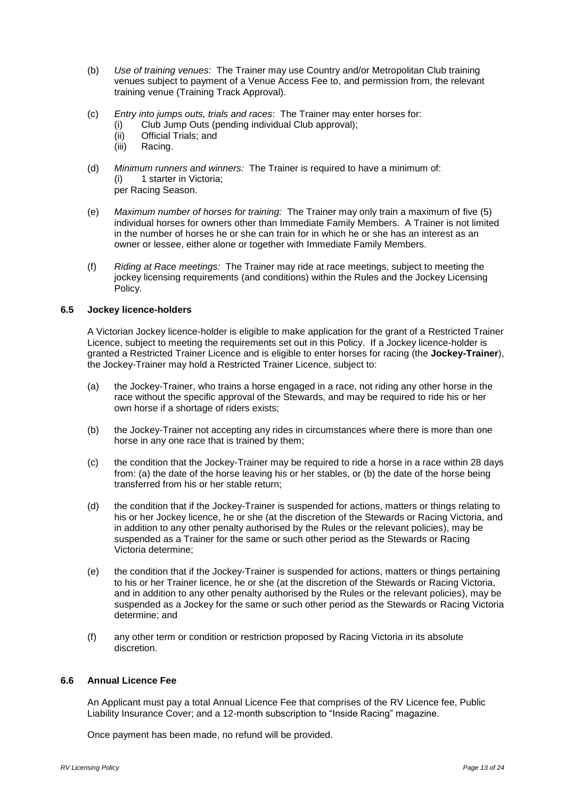- (b) *Use of training venues:* The Trainer may use Country and/or Metropolitan Club training venues subject to payment of a Venue Access Fee to, and permission from, the relevant training venue (Training Track Approval).
- (c) *Entry into jumps outs, trials and races*: The Trainer may enter horses for:
	- (i) Club Jump Outs (pending individual Club approval);
	- (ii) Official Trials; and
	- (iii) Racing.
- (d) *Minimum runners and winners:* The Trainer is required to have a minimum of: (i) 1 starter in Victoria; per Racing Season.
- (e) *Maximum number of horses for training:* The Trainer may only train a maximum of five (5) individual horses for owners other than Immediate Family Members. A Trainer is not limited in the number of horses he or she can train for in which he or she has an interest as an owner or lessee, either alone or together with Immediate Family Members.
- (f) *Riding at Race meetings:* The Trainer may ride at race meetings, subject to meeting the jockey licensing requirements (and conditions) within the Rules and the Jockey Licensing Policy.

#### <span id="page-15-0"></span>**6.5 Jockey licence-holders**

A Victorian Jockey licence-holder is eligible to make application for the grant of a Restricted Trainer Licence, subject to meeting the requirements set out in this Policy. If a Jockey licence-holder is granted a Restricted Trainer Licence and is eligible to enter horses for racing (the **Jockey-Trainer**), the Jockey-Trainer may hold a Restricted Trainer Licence, subject to:

- (a) the Jockey-Trainer, who trains a horse engaged in a race, not riding any other horse in the race without the specific approval of the Stewards, and may be required to ride his or her own horse if a shortage of riders exists;
- (b) the Jockey-Trainer not accepting any rides in circumstances where there is more than one horse in any one race that is trained by them;
- (c) the condition that the Jockey-Trainer may be required to ride a horse in a race within 28 days from: (a) the date of the horse leaving his or her stables, or (b) the date of the horse being transferred from his or her stable return;
- (d) the condition that if the Jockey-Trainer is suspended for actions, matters or things relating to his or her Jockey licence, he or she (at the discretion of the Stewards or Racing Victoria, and in addition to any other penalty authorised by the Rules or the relevant policies), may be suspended as a Trainer for the same or such other period as the Stewards or Racing Victoria determine;
- (e) the condition that if the Jockey-Trainer is suspended for actions, matters or things pertaining to his or her Trainer licence, he or she (at the discretion of the Stewards or Racing Victoria, and in addition to any other penalty authorised by the Rules or the relevant policies), may be suspended as a Jockey for the same or such other period as the Stewards or Racing Victoria determine; and
- (f) any other term or condition or restriction proposed by Racing Victoria in its absolute discretion.

## <span id="page-15-1"></span>**6.6 Annual Licence Fee**

An Applicant must pay a total Annual Licence Fee that comprises of the RV Licence fee, Public Liability Insurance Cover; and a 12-month subscription to "Inside Racing" magazine.

Once payment has been made, no refund will be provided.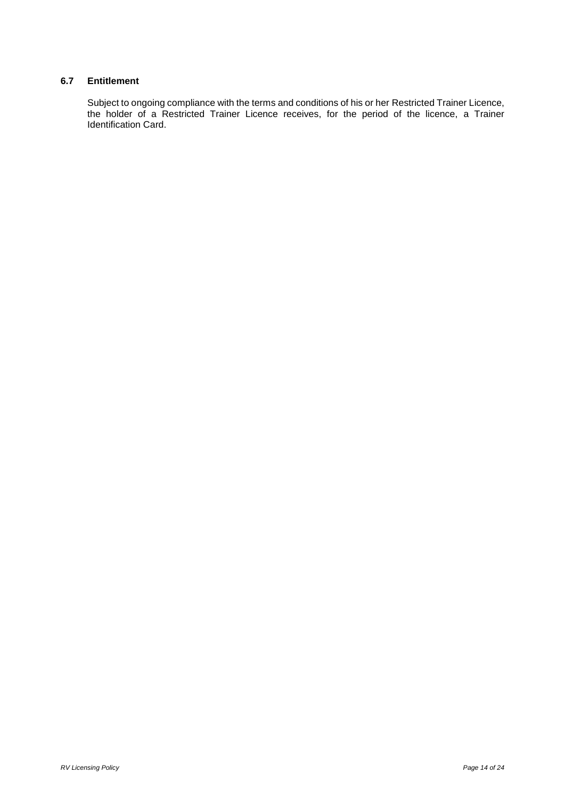# <span id="page-16-0"></span>**6.7 Entitlement**

Subject to ongoing compliance with the terms and conditions of his or her Restricted Trainer Licence, the holder of a Restricted Trainer Licence receives, for the period of the licence, a Trainer Identification Card.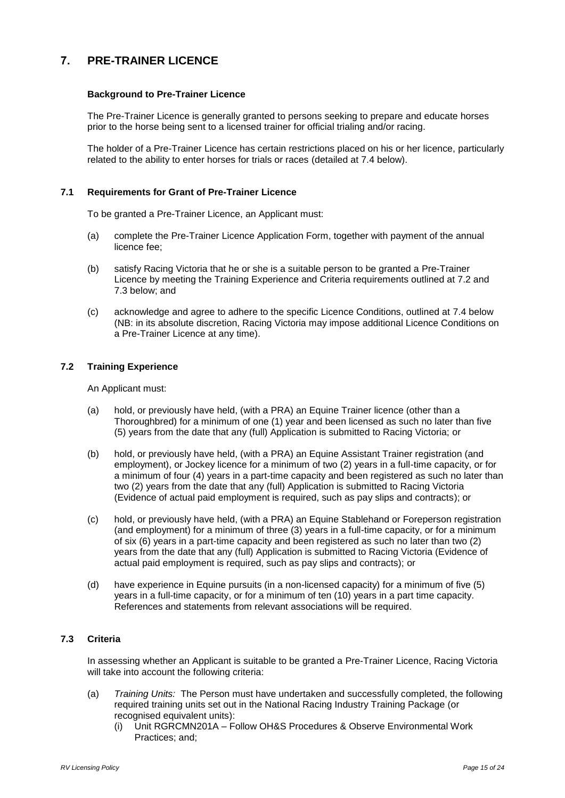# <span id="page-17-0"></span>**7. PRE-TRAINER LICENCE**

#### **Background to Pre-Trainer Licence**

The Pre-Trainer Licence is generally granted to persons seeking to prepare and educate horses prior to the horse being sent to a licensed trainer for official trialing and/or racing.

The holder of a Pre-Trainer Licence has certain restrictions placed on his or her licence, particularly related to the ability to enter horses for trials or races (detailed at 7.4 below).

#### <span id="page-17-1"></span>**7.1 Requirements for Grant of Pre-Trainer Licence**

To be granted a Pre-Trainer Licence, an Applicant must:

- (a) complete the Pre-Trainer Licence Application Form, together with payment of the annual licence fee;
- (b) satisfy Racing Victoria that he or she is a suitable person to be granted a Pre-Trainer Licence by meeting the Training Experience and Criteria requirements outlined at 7.2 and 7.3 below; and
- (c) acknowledge and agree to adhere to the specific Licence Conditions, outlined at 7.4 below (NB: in its absolute discretion, Racing Victoria may impose additional Licence Conditions on a Pre-Trainer Licence at any time).

#### <span id="page-17-2"></span>**7.2 Training Experience**

An Applicant must:

- (a) hold, or previously have held, (with a PRA) an Equine Trainer licence (other than a Thoroughbred) for a minimum of one (1) year and been licensed as such no later than five (5) years from the date that any (full) Application is submitted to Racing Victoria; or
- (b) hold, or previously have held, (with a PRA) an Equine Assistant Trainer registration (and employment), or Jockey licence for a minimum of two (2) years in a full-time capacity, or for a minimum of four (4) years in a part-time capacity and been registered as such no later than two (2) years from the date that any (full) Application is submitted to Racing Victoria (Evidence of actual paid employment is required, such as pay slips and contracts); or
- (c) hold, or previously have held, (with a PRA) an Equine Stablehand or Foreperson registration (and employment) for a minimum of three (3) years in a full-time capacity, or for a minimum of six (6) years in a part-time capacity and been registered as such no later than two (2) years from the date that any (full) Application is submitted to Racing Victoria (Evidence of actual paid employment is required, such as pay slips and contracts); or
- (d) have experience in Equine pursuits (in a non-licensed capacity) for a minimum of five (5) years in a full-time capacity, or for a minimum of ten (10) years in a part time capacity. References and statements from relevant associations will be required.

# <span id="page-17-3"></span>**7.3 Criteria**

In assessing whether an Applicant is suitable to be granted a Pre-Trainer Licence, Racing Victoria will take into account the following criteria:

- (a) *Training Units:* The Person must have undertaken and successfully completed, the following required training units set out in the National Racing Industry Training Package (or recognised equivalent units):
	- (i) Unit RGRCMN201A Follow OH&S Procedures & Observe Environmental Work Practices; and;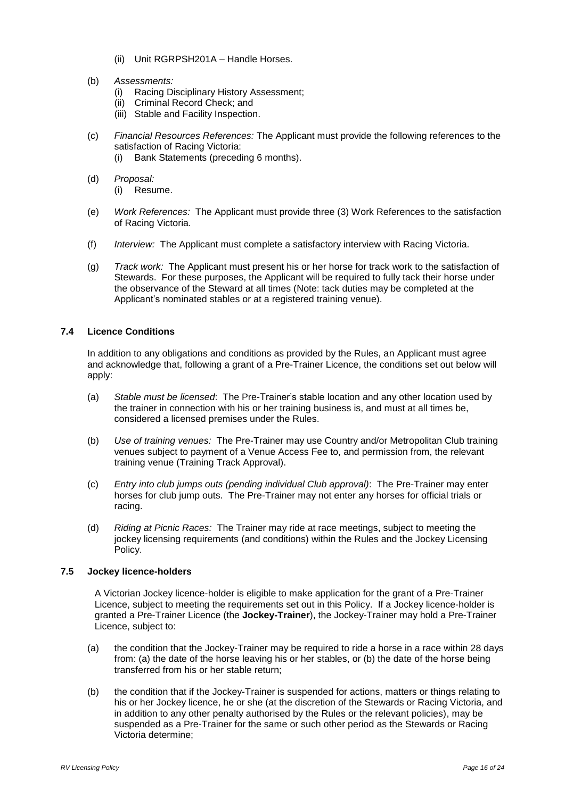- (ii) Unit RGRPSH201A Handle Horses.
- (b) *Assessments:*
	- (i) Racing Disciplinary History Assessment;
	- (ii) Criminal Record Check; and
	- (iii) Stable and Facility Inspection.
- (c) *Financial Resources References:* The Applicant must provide the following references to the satisfaction of Racing Victoria:
	- (i) Bank Statements (preceding 6 months).
- (d) *Proposal:*
	- (i) Resume.
- (e) *Work References:* The Applicant must provide three (3) Work References to the satisfaction of Racing Victoria.
- (f) *Interview:* The Applicant must complete a satisfactory interview with Racing Victoria.
- (g) *Track work:* The Applicant must present his or her horse for track work to the satisfaction of Stewards. For these purposes, the Applicant will be required to fully tack their horse under the observance of the Steward at all times (Note: tack duties may be completed at the Applicant's nominated stables or at a registered training venue).

# <span id="page-18-0"></span>**7.4 Licence Conditions**

In addition to any obligations and conditions as provided by the Rules, an Applicant must agree and acknowledge that, following a grant of a Pre-Trainer Licence, the conditions set out below will apply:

- (a) *Stable must be licensed*: The Pre-Trainer's stable location and any other location used by the trainer in connection with his or her training business is, and must at all times be, considered a licensed premises under the Rules.
- (b) *Use of training venues:* The Pre-Trainer may use Country and/or Metropolitan Club training venues subject to payment of a Venue Access Fee to, and permission from, the relevant training venue (Training Track Approval).
- (c) *Entry into club jumps outs (pending individual Club approval)*: The Pre-Trainer may enter horses for club jump outs. The Pre-Trainer may not enter any horses for official trials or racing.
- (d) *Riding at Picnic Races:* The Trainer may ride at race meetings, subject to meeting the jockey licensing requirements (and conditions) within the Rules and the Jockey Licensing Policy.

#### <span id="page-18-1"></span>**7.5 Jockey licence-holders**

A Victorian Jockey licence-holder is eligible to make application for the grant of a Pre-Trainer Licence, subject to meeting the requirements set out in this Policy. If a Jockey licence-holder is granted a Pre-Trainer Licence (the **Jockey-Trainer**), the Jockey-Trainer may hold a Pre-Trainer Licence, subject to:

- (a) the condition that the Jockey-Trainer may be required to ride a horse in a race within 28 days from: (a) the date of the horse leaving his or her stables, or (b) the date of the horse being transferred from his or her stable return;
- (b) the condition that if the Jockey-Trainer is suspended for actions, matters or things relating to his or her Jockey licence, he or she (at the discretion of the Stewards or Racing Victoria, and in addition to any other penalty authorised by the Rules or the relevant policies), may be suspended as a Pre-Trainer for the same or such other period as the Stewards or Racing Victoria determine;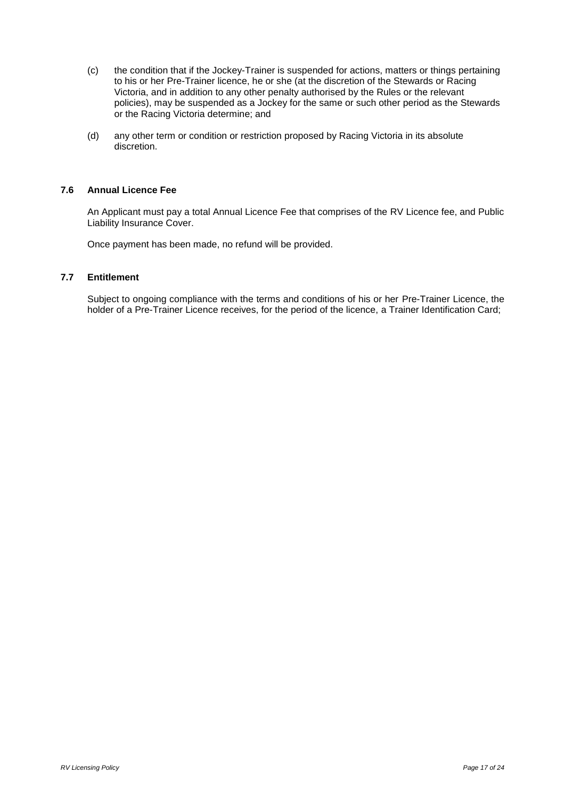- (c) the condition that if the Jockey-Trainer is suspended for actions, matters or things pertaining to his or her Pre-Trainer licence, he or she (at the discretion of the Stewards or Racing Victoria, and in addition to any other penalty authorised by the Rules or the relevant policies), may be suspended as a Jockey for the same or such other period as the Stewards or the Racing Victoria determine; and
- (d) any other term or condition or restriction proposed by Racing Victoria in its absolute discretion.

## <span id="page-19-0"></span>**7.6 Annual Licence Fee**

An Applicant must pay a total Annual Licence Fee that comprises of the RV Licence fee, and Public Liability Insurance Cover.

Once payment has been made, no refund will be provided.

#### <span id="page-19-1"></span>**7.7 Entitlement**

Subject to ongoing compliance with the terms and conditions of his or her Pre-Trainer Licence, the holder of a Pre-Trainer Licence receives, for the period of the licence, a Trainer Identification Card;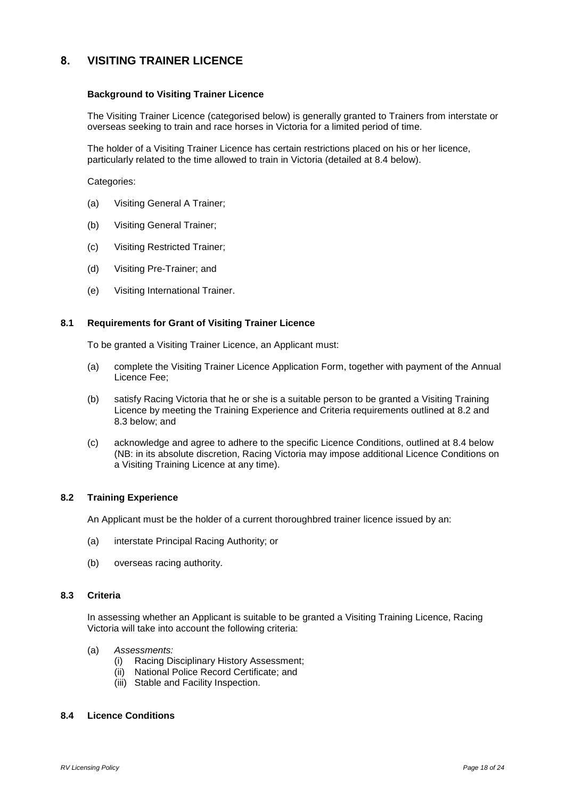# <span id="page-20-0"></span>**8. VISITING TRAINER LICENCE**

#### **Background to Visiting Trainer Licence**

The Visiting Trainer Licence (categorised below) is generally granted to Trainers from interstate or overseas seeking to train and race horses in Victoria for a limited period of time.

The holder of a Visiting Trainer Licence has certain restrictions placed on his or her licence, particularly related to the time allowed to train in Victoria (detailed at 8.4 below).

Categories:

- (a) Visiting General A Trainer;
- (b) Visiting General Trainer;
- (c) Visiting Restricted Trainer;
- (d) Visiting Pre-Trainer; and
- (e) Visiting International Trainer.

#### <span id="page-20-1"></span>**8.1 Requirements for Grant of Visiting Trainer Licence**

To be granted a Visiting Trainer Licence, an Applicant must:

- (a) complete the Visiting Trainer Licence Application Form, together with payment of the Annual Licence Fee;
- (b) satisfy Racing Victoria that he or she is a suitable person to be granted a Visiting Training Licence by meeting the Training Experience and Criteria requirements outlined at 8.2 and 8.3 below; and
- (c) acknowledge and agree to adhere to the specific Licence Conditions, outlined at 8.4 below (NB: in its absolute discretion, Racing Victoria may impose additional Licence Conditions on a Visiting Training Licence at any time).

#### <span id="page-20-2"></span>**8.2 Training Experience**

An Applicant must be the holder of a current thoroughbred trainer licence issued by an:

- (a) interstate Principal Racing Authority; or
- (b) overseas racing authority.

## <span id="page-20-3"></span>**8.3 Criteria**

In assessing whether an Applicant is suitable to be granted a Visiting Training Licence, Racing Victoria will take into account the following criteria:

- (a) *Assessments:*
	- (i) Racing Disciplinary History Assessment;
	- (ii) National Police Record Certificate; and
	- (iii) Stable and Facility Inspection.

#### <span id="page-20-4"></span>**8.4 Licence Conditions**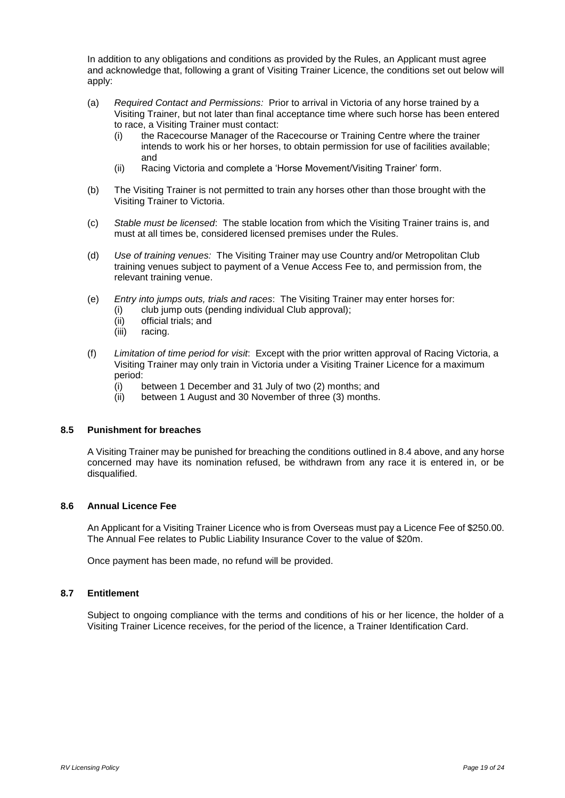In addition to any obligations and conditions as provided by the Rules, an Applicant must agree and acknowledge that, following a grant of Visiting Trainer Licence, the conditions set out below will apply:

- (a) *Required Contact and Permissions:* Prior to arrival in Victoria of any horse trained by a Visiting Trainer, but not later than final acceptance time where such horse has been entered to race, a Visiting Trainer must contact:
	- (i) the Racecourse Manager of the Racecourse or Training Centre where the trainer intends to work his or her horses, to obtain permission for use of facilities available; and
	- (ii) Racing Victoria and complete a 'Horse Movement/Visiting Trainer' form.
- (b) The Visiting Trainer is not permitted to train any horses other than those brought with the Visiting Trainer to Victoria.
- (c) *Stable must be licensed*: The stable location from which the Visiting Trainer trains is, and must at all times be, considered licensed premises under the Rules.
- (d) *Use of training venues:* The Visiting Trainer may use Country and/or Metropolitan Club training venues subject to payment of a Venue Access Fee to, and permission from, the relevant training venue.
- (e) *Entry into jumps outs, trials and races*: The Visiting Trainer may enter horses for:
	- (i) club jump outs (pending individual Club approval);
	- (ii) official trials; and
	- (iii) racing.
- (f) *Limitation of time period for visit*: Except with the prior written approval of Racing Victoria, a Visiting Trainer may only train in Victoria under a Visiting Trainer Licence for a maximum period:
	- (i) between 1 December and 31 July of two (2) months; and
	- (ii) between 1 August and 30 November of three (3) months.

# <span id="page-21-0"></span>**8.5 Punishment for breaches**

A Visiting Trainer may be punished for breaching the conditions outlined in 8.4 above, and any horse concerned may have its nomination refused, be withdrawn from any race it is entered in, or be disqualified.

# <span id="page-21-1"></span>**8.6 Annual Licence Fee**

An Applicant for a Visiting Trainer Licence who is from Overseas must pay a Licence Fee of \$250.00. The Annual Fee relates to Public Liability Insurance Cover to the value of \$20m.

Once payment has been made, no refund will be provided.

#### <span id="page-21-2"></span>**8.7 Entitlement**

Subject to ongoing compliance with the terms and conditions of his or her licence, the holder of a Visiting Trainer Licence receives, for the period of the licence, a Trainer Identification Card.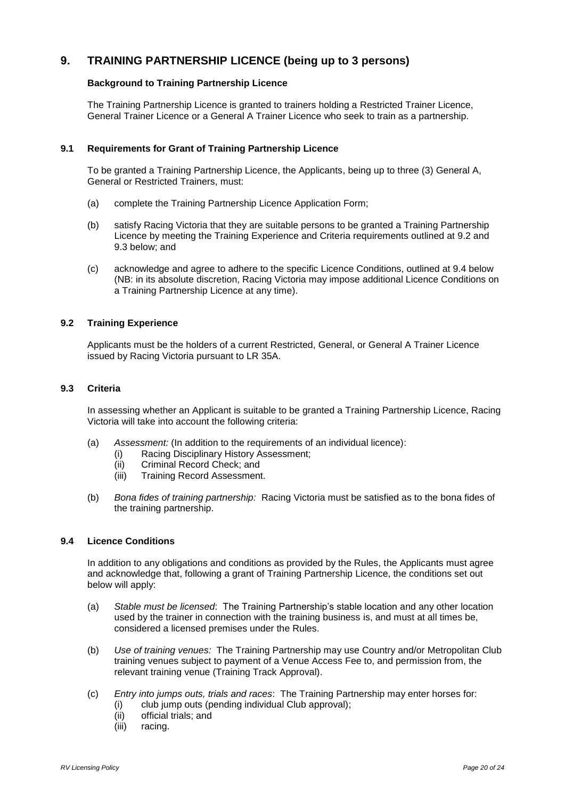# <span id="page-22-0"></span>**9. TRAINING PARTNERSHIP LICENCE (being up to 3 persons)**

## **Background to Training Partnership Licence**

The Training Partnership Licence is granted to trainers holding a Restricted Trainer Licence, General Trainer Licence or a General A Trainer Licence who seek to train as a partnership.

#### <span id="page-22-1"></span>**9.1 Requirements for Grant of Training Partnership Licence**

To be granted a Training Partnership Licence, the Applicants, being up to three (3) General A, General or Restricted Trainers, must:

- (a) complete the Training Partnership Licence Application Form;
- (b) satisfy Racing Victoria that they are suitable persons to be granted a Training Partnership Licence by meeting the Training Experience and Criteria requirements outlined at 9.2 and 9.3 below; and
- (c) acknowledge and agree to adhere to the specific Licence Conditions, outlined at 9.4 below (NB: in its absolute discretion, Racing Victoria may impose additional Licence Conditions on a Training Partnership Licence at any time).

#### <span id="page-22-2"></span>**9.2 Training Experience**

Applicants must be the holders of a current Restricted, General, or General A Trainer Licence issued by Racing Victoria pursuant to LR 35A.

#### <span id="page-22-3"></span>**9.3 Criteria**

In assessing whether an Applicant is suitable to be granted a Training Partnership Licence, Racing Victoria will take into account the following criteria:

- (a) *Assessment:* (In addition to the requirements of an individual licence):
	- (i) Racing Disciplinary History Assessment;
	- (ii) Criminal Record Check; and
	- (iii) Training Record Assessment.
- (b) *Bona fides of training partnership:* Racing Victoria must be satisfied as to the bona fides of the training partnership.

#### <span id="page-22-4"></span>**9.4 Licence Conditions**

In addition to any obligations and conditions as provided by the Rules, the Applicants must agree and acknowledge that, following a grant of Training Partnership Licence, the conditions set out below will apply:

- (a) *Stable must be licensed*: The Training Partnership's stable location and any other location used by the trainer in connection with the training business is, and must at all times be, considered a licensed premises under the Rules.
- (b) *Use of training venues:* The Training Partnership may use Country and/or Metropolitan Club training venues subject to payment of a Venue Access Fee to, and permission from, the relevant training venue (Training Track Approval).
- (c) *Entry into jumps outs, trials and races*: The Training Partnership may enter horses for:
	- (i) club jump outs (pending individual Club approval);
	- (ii) official trials; and
	- (iii) racing.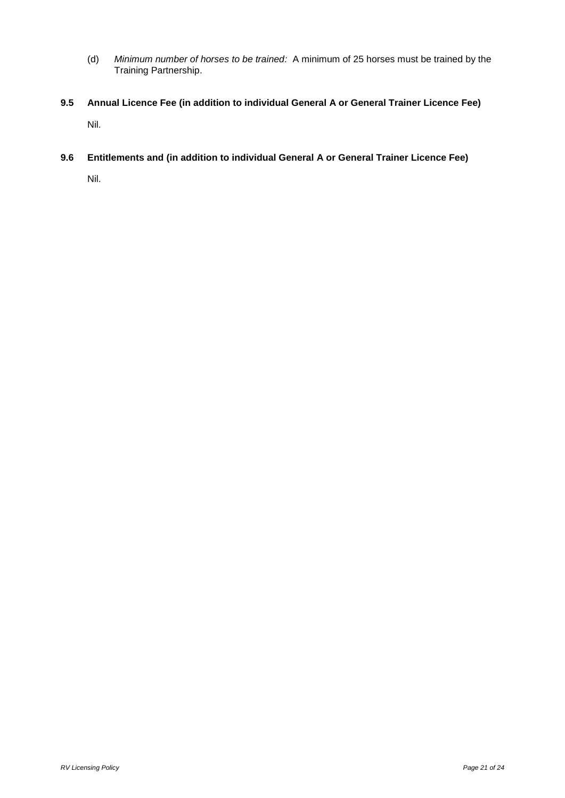- (d) *Minimum number of horses to be trained:* A minimum of 25 horses must be trained by the Training Partnership.
- <span id="page-23-0"></span>**9.5 Annual Licence Fee (in addition to individual General A or General Trainer Licence Fee)** Nil.
- <span id="page-23-1"></span>**9.6 Entitlements and (in addition to individual General A or General Trainer Licence Fee)**

Nil.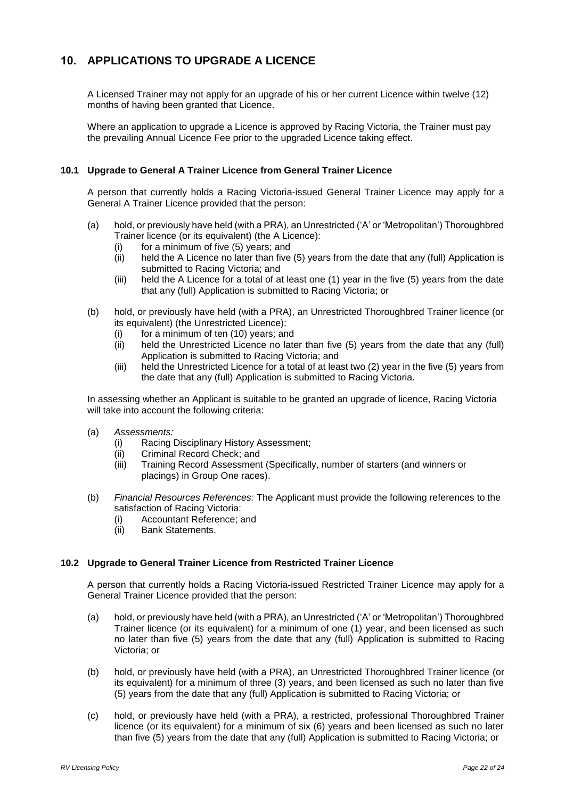# <span id="page-24-0"></span>**10. APPLICATIONS TO UPGRADE A LICENCE**

A Licensed Trainer may not apply for an upgrade of his or her current Licence within twelve (12) months of having been granted that Licence.

Where an application to upgrade a Licence is approved by Racing Victoria, the Trainer must pay the prevailing Annual Licence Fee prior to the upgraded Licence taking effect.

# <span id="page-24-1"></span>**10.1 Upgrade to General A Trainer Licence from General Trainer Licence**

A person that currently holds a Racing Victoria-issued General Trainer Licence may apply for a General A Trainer Licence provided that the person:

- (a) hold, or previously have held (with a PRA), an Unrestricted ('A' or 'Metropolitan') Thoroughbred Trainer licence (or its equivalent) (the A Licence):
	- $(i)$  for a minimum of five  $(5)$  years; and
	- (ii) held the A Licence no later than five (5) years from the date that any (full) Application is submitted to Racing Victoria; and
	- (iii) held the A Licence for a total of at least one (1) year in the five (5) years from the date that any (full) Application is submitted to Racing Victoria; or
- (b) hold, or previously have held (with a PRA), an Unrestricted Thoroughbred Trainer licence (or its equivalent) (the Unrestricted Licence):
	- (i) for a minimum of ten (10) years; and
	- (ii) held the Unrestricted Licence no later than five (5) years from the date that any (full) Application is submitted to Racing Victoria; and
	- (iii) held the Unrestricted Licence for a total of at least two (2) year in the five (5) years from the date that any (full) Application is submitted to Racing Victoria.

In assessing whether an Applicant is suitable to be granted an upgrade of licence, Racing Victoria will take into account the following criteria:

- (a) *Assessments:*
	- (i) Racing Disciplinary History Assessment;
	- (ii) Criminal Record Check; and
	- (iii) Training Record Assessment (Specifically, number of starters (and winners or placings) in Group One races).
- (b) *Financial Resources References:* The Applicant must provide the following references to the satisfaction of Racing Victoria:
	- (i) Accountant Reference; and
	- (ii) Bank Statements.

#### <span id="page-24-2"></span>**10.2 Upgrade to General Trainer Licence from Restricted Trainer Licence**

A person that currently holds a Racing Victoria-issued Restricted Trainer Licence may apply for a General Trainer Licence provided that the person:

- (a) hold, or previously have held (with a PRA), an Unrestricted ('A' or 'Metropolitan') Thoroughbred Trainer licence (or its equivalent) for a minimum of one (1) year, and been licensed as such no later than five (5) years from the date that any (full) Application is submitted to Racing Victoria; or
- (b) hold, or previously have held (with a PRA), an Unrestricted Thoroughbred Trainer licence (or its equivalent) for a minimum of three (3) years, and been licensed as such no later than five (5) years from the date that any (full) Application is submitted to Racing Victoria; or
- (c) hold, or previously have held (with a PRA), a restricted, professional Thoroughbred Trainer licence (or its equivalent) for a minimum of six (6) years and been licensed as such no later than five (5) years from the date that any (full) Application is submitted to Racing Victoria; or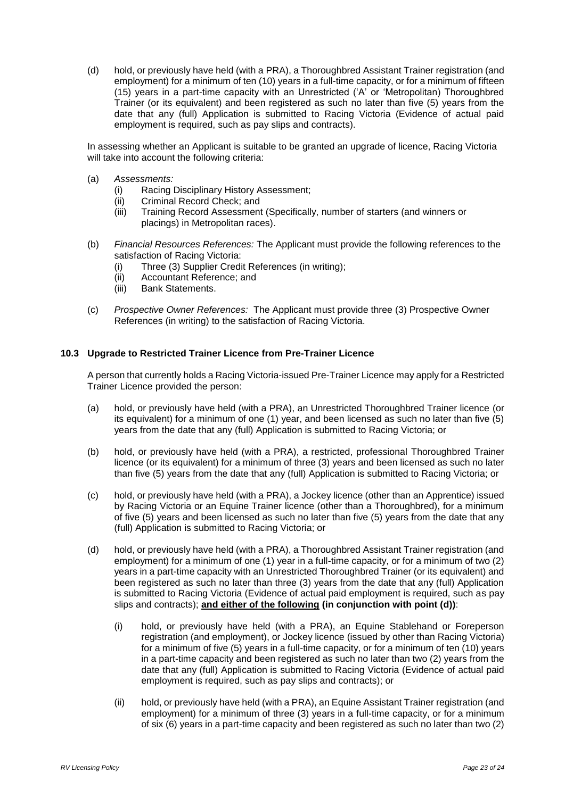(d) hold, or previously have held (with a PRA), a Thoroughbred Assistant Trainer registration (and employment) for a minimum of ten (10) years in a full-time capacity, or for a minimum of fifteen (15) years in a part-time capacity with an Unrestricted ('A' or 'Metropolitan) Thoroughbred Trainer (or its equivalent) and been registered as such no later than five (5) years from the date that any (full) Application is submitted to Racing Victoria (Evidence of actual paid employment is required, such as pay slips and contracts).

In assessing whether an Applicant is suitable to be granted an upgrade of licence, Racing Victoria will take into account the following criteria:

- (a) *Assessments:*
	- (i) Racing Disciplinary History Assessment;
	- (ii) Criminal Record Check; and
	- (iii) Training Record Assessment (Specifically, number of starters (and winners or placings) in Metropolitan races).
- (b) *Financial Resources References:* The Applicant must provide the following references to the satisfaction of Racing Victoria:
	- (i) Three (3) Supplier Credit References (in writing);
	- (ii) Accountant Reference; and
	- (iii) Bank Statements.
- (c) *Prospective Owner References:* The Applicant must provide three (3) Prospective Owner References (in writing) to the satisfaction of Racing Victoria.

#### <span id="page-25-0"></span>**10.3 Upgrade to Restricted Trainer Licence from Pre-Trainer Licence**

A person that currently holds a Racing Victoria-issued Pre-Trainer Licence may apply for a Restricted Trainer Licence provided the person:

- (a) hold, or previously have held (with a PRA), an Unrestricted Thoroughbred Trainer licence (or its equivalent) for a minimum of one (1) year, and been licensed as such no later than five (5) years from the date that any (full) Application is submitted to Racing Victoria; or
- (b) hold, or previously have held (with a PRA), a restricted, professional Thoroughbred Trainer licence (or its equivalent) for a minimum of three (3) years and been licensed as such no later than five (5) years from the date that any (full) Application is submitted to Racing Victoria; or
- (c) hold, or previously have held (with a PRA), a Jockey licence (other than an Apprentice) issued by Racing Victoria or an Equine Trainer licence (other than a Thoroughbred), for a minimum of five (5) years and been licensed as such no later than five (5) years from the date that any (full) Application is submitted to Racing Victoria; or
- (d) hold, or previously have held (with a PRA), a Thoroughbred Assistant Trainer registration (and employment) for a minimum of one (1) year in a full-time capacity, or for a minimum of two (2) years in a part-time capacity with an Unrestricted Thoroughbred Trainer (or its equivalent) and been registered as such no later than three (3) years from the date that any (full) Application is submitted to Racing Victoria (Evidence of actual paid employment is required, such as pay slips and contracts); **and either of the following (in conjunction with point (d))**:
	- (i) hold, or previously have held (with a PRA), an Equine Stablehand or Foreperson registration (and employment), or Jockey licence (issued by other than Racing Victoria) for a minimum of five (5) years in a full-time capacity, or for a minimum of ten (10) years in a part-time capacity and been registered as such no later than two (2) years from the date that any (full) Application is submitted to Racing Victoria (Evidence of actual paid employment is required, such as pay slips and contracts); or
	- (ii) hold, or previously have held (with a PRA), an Equine Assistant Trainer registration (and employment) for a minimum of three (3) years in a full-time capacity, or for a minimum of six (6) years in a part-time capacity and been registered as such no later than two (2)